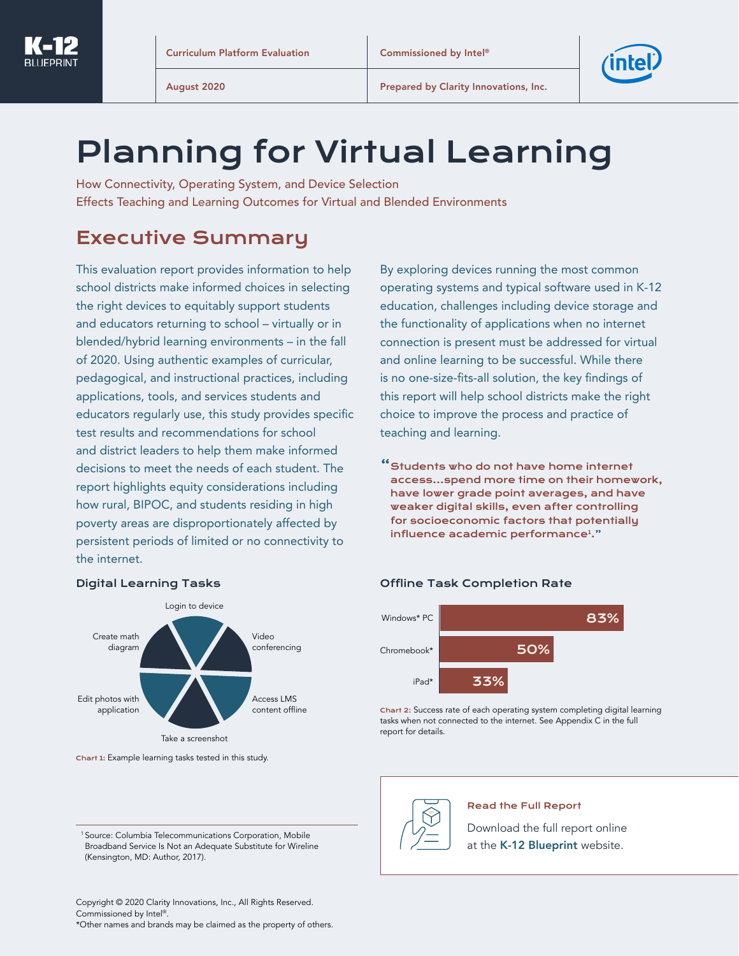

# Planning for Virtual Learning

How Connectivity, Operating System, and Device Selection Effects Teaching and Learning Outcomes for Virtual and Blended Environments

## Executive Summary

This evaluation report provides information to help school districts make informed choices in selecting the right devices to equitably support students and educators returning to school – virtually or in blended/hybrid learning environments – in the fall of 2020. Using authentic examples of curricular, pedagogical, and instructional practices, including applications, tools, and services students and educators regularly use, this study provides specific test results and recommendations for school and district leaders to help them make informed decisions to meet the needs of each student. The report highlights equity considerations including how rural, BIPOC, and students residing in high poverty areas are disproportionately affected by persistent periods of limited or no connectivity to the internet.

By exploring devices running the most common operating systems and typical software used in K-12 education, challenges including device storage and the functionality of applications when no internet connection is present must be addressed for virtual and online learning to be successful. While there is no one-size-fits-all solution, the key findings of this report will help school districts make the right choice to improve the process and practice of teaching and learning.

"Students who do not have home internet access...spend more time on their homework, have lower grade point averages, and have weaker digital skills, even after controlling for socioeconomic factors that potentially influence academic performance<sup>1</sup>."



Digital Learning Tasks

Windows\* PC Chromebook\* 83% 50%  $i$ Pad\* 33%

Offline Task Completion Rate

Chart 2: Success rate of each operating system completing digital learning tasks when not connected to the internet. See Appendix C in the full report for details.

Chart 1: Example learning tasks tested in this study.

<sup>1</sup> Source: Columbia Telecommunications Corporation, Mobile Broadband Service Is Not an Adequate Substitute for Wireline (Kensington, MD: Author, 2017).



#### Read the Full Report

[Download the full report online](https://www.k12blueprint.com/sites/default/files/Intel%20Curriculum%20Platform%20Evaluation_2020.pdf?utm=fromabstract)  at the [K-12 Blueprint](https://www.k12blueprint.com/sites/default/files/Intel%20Curriculum%20Platform%20Evaluation_2020.pdf) website.